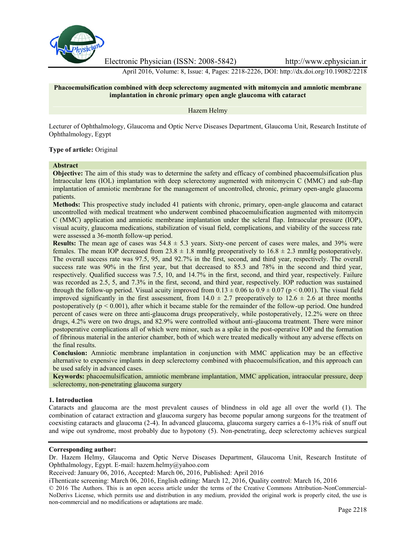

Electronic Physician (ISSN: 2008-5842) http://www.ephysician.ir

April 2016, Volume: 8, Issue: 4, Pages: 2218-2226, DOI: http://dx.doi.org/10.19082/2218

### **Phacoemulsification combined with deep sclerectomy augmented with mitomycin and amniotic membrane implantation in chronic primary open angle glaucoma with cataract**

Hazem Helmy

Lecturer of Ophthalmology, Glaucoma and Optic Nerve Diseases Department, Glaucoma Unit, Research Institute of Ophthalmology, Egypt

### **Type of article:** Original

### **Abstract**

**Objective:** The aim of this study was to determine the safety and efficacy of combined phacoemulsification plus Intraocular lens (IOL) implantation with deep sclerectomy augmented with mitomycin C (MMC) and sub-flap implantation of amniotic membrane for the management of uncontrolled, chronic, primary open-angle glaucoma patients.

**Methods:** This prospective study included 41 patients with chronic, primary, open-angle glaucoma and cataract uncontrolled with medical treatment who underwent combined phacoemulsification augmented with mitomycin C (MMC) application and amniotic membrane implantation under the scleral flap. Intraocular pressure (IOP), visual acuity, glaucoma medications, stabilization of visual field, complications, and viability of the success rate were assessed a 36-month follow-up period.

**Results:** The mean age of cases was  $54.8 \pm 5.3$  years. Sixty-one percent of cases were males, and  $39\%$  were females. The mean IOP decreased from  $23.8 \pm 1.8$  mmHg preoperatively to  $16.8 \pm 2.3$  mmHg postoperatively. The overall success rate was 97.5, 95, and 92.7% in the first, second, and third year, respectively. The overall success rate was 90% in the first year, but that decreased to 85.3 and 78% in the second and third year, respectively. Qualified success was 7.5, 10, and 14.7% in the first, second, and third year, respectively. Failure was recorded as 2.5, 5, and 7.3% in the first, second, and third year, respectively. IOP reduction was sustained through the follow-up period. Visual acuity improved from  $0.13 \pm 0.06$  to  $0.9 \pm 0.07$  (p < 0.001). The visual field improved significantly in the first assessment, from  $14.0 \pm 2.7$  preoperatively to  $12.6 \pm 2.6$  at three months postoperatively  $(p < 0.001)$ , after which it became stable for the remainder of the follow-up period. One hundred percent of cases were on three anti-glaucoma drugs preoperatively, while postoperatively, 12.2% were on three drugs, 4.2% were on two drugs, and 82.9% were controlled without anti-glaucoma treatment. There were minor postoperative complications all of which were minor, such as a spike in the post-operative IOP and the formation of fibrinous material in the anterior chamber, both of which were treated medically without any adverse effects on the final results.

**Conclusion:** Amniotic membrane implantation in conjunction with MMC application may be an effective alternative to expensive implants in deep sclerectomy combined with phacoemulsification, and this approach can be used safely in advanced cases.

**Keywords:** phacoemulsification, amniotic membrane implantation, MMC application, intraocular pressure, deep sclerectomy, non-penetrating glaucoma surgery

#### **1. Introduction**

Cataracts and glaucoma are the most prevalent causes of blindness in old age all over the world (1). The combination of cataract extraction and glaucoma surgery has become popular among surgeons for the treatment of coexisting cataracts and glaucoma (2-4). In advanced glaucoma, glaucoma surgery carries a 6-13% risk of snuff out and wipe out syndrome, most probably due to hypotony (5). Non-penetrating, deep sclerectomy achieves surgical

#### **Corresponding author:**

Dr. Hazem Helmy, Glaucoma and Optic Nerve Diseases Department, Glaucoma Unit, Research Institute of Ophthalmology, Egypt. E-mail: hazem.helmy@yahoo.com

Received: January 06, 2016, Accepted: March 06, 2016, Published: April 2016

iThenticate screening: March 06, 2016, English editing: March 12, 2016, Quality control: March 16, 2016

© 2016 The Authors. This is an open access article under the terms of the Creative Commons Attribution-NonCommercial- NoDerivs License, which permits use and distribution in any medium, provided the original work is properly cited, the use is non-commercial and no modifications or adaptations are made.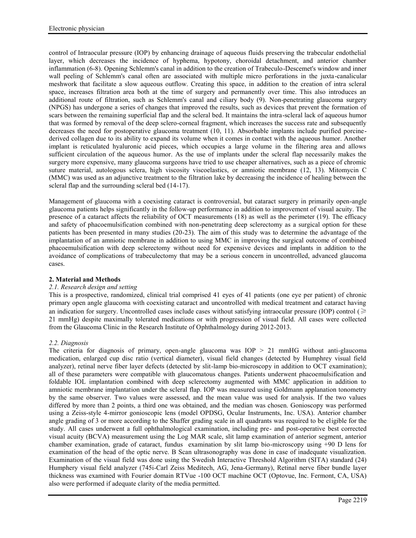control of Intraocular pressure (IOP) by enhancing drainage of aqueous fluids preserving the trabecular endothelial layer, which decreases the incidence of hyphema, hypotony, choroidal detachment, and anterior chamber inflammation (6-8). Opening Schlemm's canal in addition to the creation of Trabeculo-Descemet's window and inner wall peeling of Schlemm's canal often are associated with multiple micro perforations in the juxta-canalicular meshwork that facilitate a slow aqueous outflow. Creating this space, in addition to the creation of intra scleral space, increases filtration area both at the time of surgery and permanently over time. This also introduces an additional route of filtration, such as Schlemm's canal and ciliary body (9). Non-penetrating glaucoma surgery (NPGS) has undergone a series of changes that improved the results, such as devices that prevent the formation of scars between the remaining superficial flap and the scleral bed. It maintains the intra-scleral lack of aqueous humor that was formed by removal of the deep sclero-corneal fragment, which increases the success rate and subsequently decreases the need for postoperative glaucoma treatment (10, 11). Absorbable implants include purified porcine derived collagen due to its ability to expand its volume when it comes in contact with the aqueous humor. Another implant is reticulated hyaluronic acid pieces, which occupies a large volume in the filtering area and allows sufficient circulation of the aqueous humor. As the use of implants under the scleral flap necessarily makes the surgery more expensive, many glaucoma surgeons have tried to use cheaper alternatives, such as a piece of chromic suture material, autologous sclera, high viscosity viscoelastics, or amniotic membrane (12, 13). Mitomycin C (MMC) was used as an adjunctive treatment to the filtration lake by decreasing the incidence of healing between the scleral flap and the surrounding scleral bed (14-17).

Management of glaucoma with a coexisting cataract is controversial, but cataract surgery in primarily open-angle glaucoma patients helps significantly in the follow-up performance in addition to improvement of visual acuity. The presence of a cataract affects the reliability of OCT measurements (18) as well as the perimeter (19). The efficacy and safety of phacoemulsification combined with non-penetrating deep sclerectomy as a surgical option for these patients has been presented in many studies (20-23). The aim of this study was to determine the advantage of the implantation of an amniotic membrane in addition to using MMC in improving the surgical outcome of combined phacoemulsification with deep sclerectomy without need for expensive devices and implants in addition to the avoidance of complications of trabeculectomy that may be a serious concern in uncontrolled, advanced glaucoma cases.

### **2. Material and Methods**

### *2.1. Research design and setting*

This is a prospective, randomized, clinical trial comprised 41 eyes of 41 patients (one eye per patient) of chronic primary open angle glaucoma with coexisting cataract and uncontrolled with medical treatment and cataract having an indication for surgery. Uncontrolled cases include cases without satisfying intraocular pressure (IOP) control ( $\geq$ 21 mmHg) despite maximally tolerated medications or with progression of visual field. All cases were collected from the Glaucoma Clinic in the Research Institute of Ophthalmology during 2012-2013.

### *2.2. Diagnosis*

The criteria for diagnosis of primary, open-angle glaucoma was IOP > 21 mmHG without anti-glaucoma medication, enlarged cup disc ratio (vertical diameter), visual field changes (detected by Humphrey visual field analyzer), retinal nerve fiber layer defects (detected by slit-lamp bio-microscopy in addition to OCT examination); all of these parameters were compatible with glaucomatous changes. Patients underwent phacoemulsification and foldable IOL implantation combined with deep sclerectomy augmented with MMC application in addition to amniotic membrane implantation under the scleral flap. IOP was measured using Goldmann applanation tonometry by the same observer. Two values were assessed, and the mean value was used for analysis. If the two values differed by more than 2 points, a third one was obtained, and the median was chosen. Gonioscopy was performed using a Zeiss-style 4-mirror gonioscopic lens (model OPDSG, Ocular Instruments, Inc. USA). Anterior chamber angle grading of 3 or more according to the Shaffer grading scale in all quadrants was required to be eligible for the study. All cases underwent a full ophthalmological examination, including pre- and post-operative best corrected visual acuity (BCVA) measurement using the Log MAR scale, slit lamp examination of anterior segment, anterior chamber examination, grade of cataract, fundus examination by slit lamp bio-microscopy using +90 D lens for examination of the head of the optic nerve. B Scan ultrasonography was done in case of inadequate visualization. Examination of the visual field was done using the Swedish Interactive Threshold Algorithm (SITA) standard (24) Humphery visual field analyzer (745i-Carl Zeiss Meditech, AG, Jena-Germany), Retinal nerve fiber bundle layer thickness was examined with Fourier domain RTVue -100 OCT machine OCT (Optovue, Inc. Fermont, CA, USA) also were performed if adequate clarity of the media permitted.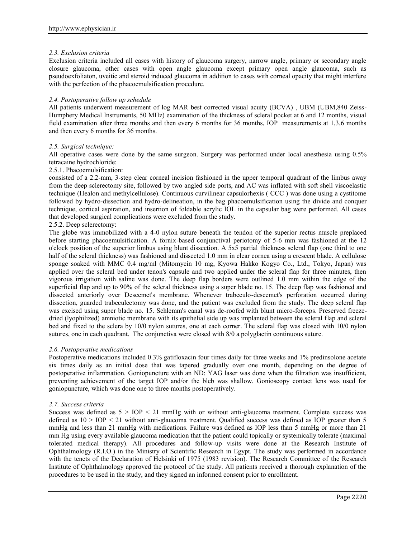### *2.3. Exclusion criteria*

Exclusion criteria included all cases with history of glaucoma surgery, narrow angle, primary or secondary angle closure glaucoma, other cases with open angle glaucoma except primary open angle glaucoma, such as pseudoexfoliaton, uveitic and steroid induced glaucoma in addition to cases with corneal opacity that might interfere with the perfection of the phacoemulsification procedure.

### *2.4. Postoperative follow up schedule*

All patients underwent measurement of log MAR best corrected visual acuity (BCVA) , UBM (UBM,840 Zeiss- Humphery Medical Instruments, 50 MHz) examination of the thickness of scleral pocket at 6 and 12 months, visual field examination after three months and then every 6 months for 36 months, IOP measurements at 1,3,6 months and then every 6 months for 36 months.

### *2.5. Surgical technique:*

All operative cases were done by the same surgeon. Surgery was performed under local anesthesia using 0.5% tetracaine hydrochloride:

### 2.5.1. Phacoemulsification:

consisted of a 2.2-mm, 3-step clear corneal incision fashioned in the upper temporal quadrant of the limbus away from the deep sclerectomy site, followed by two angled side ports, and AC was inflated with soft shell viscoelastic technique (Healon and methylcellulose). Continuous curvilinear capsulorhexis ( CCC ) was done using a cystitome followed by hydro-dissection and hydro-delineation, in the bag phacoemulsification using the divide and conquer technique, cortical aspiration, and insertion of foldable acrylic IOL in the capsular bag were performed. All cases that developed surgical complications were excluded from the study.

# 2.5.2. Deep sclerectomy:

The globe was immobilized with a 4-0 nylon suture beneath the tendon of the superior rectus muscle preplaced before starting phacoemulsification. A fornix-based conjunctival periotomy of 5-6 mm was fashioned at the 12 o'clock position of the superior limbus using blunt dissection. A 5x5 partial thickness scleral flap (one third to one half of the scleral thickness) was fashioned and dissected 1.0 mm in clear cornea using a crescent blade. A cellulose sponge soaked with MMC 0.4 mg/ml (Mitomycin 10 mg, Kyowa Hakko Kogyo Co., Ltd., Tokyo, Japan) was applied over the scleral bed under tenon's capsule and two applied under the scleral flap for three minutes, then vigorous irrigation with saline was done. The deep flap borders were outlined 1.0 mm within the edge of the superficial flap and up to 90% of the scleral thickness using a super blade no. 15. The deep flap was fashioned and dissected anteriorly over Descemet's membrane. Whenever trabeculo-descemet's perforation occurred during dissection, guarded trabeculectomy was done, and the patient was excluded from the study. The deep scleral flap was excised using super blade no. 15. Schlemm's canal was de-roofed with blunt micro-forceps. Preserved freeze dried (lyophilized) amniotic membrane with its epithelial side up was implanted between the scleral flap and scleral bed and fixed to the sclera by 10/0 nylon sutures, one at each corner. The scleral flap was closed with 10/0 nylon sutures, one in each quadrant. The conjunctiva were closed with 8/0 a polyglactin continuous suture.

### *2.6. Postoperative medications*

Postoperative medications included 0.3% gatifloxacin four times daily for three weeks and 1% predinsolone acetate six times daily as an initial dose that was tapered gradually over one month, depending on the degree of postoperative inflammation. Goniopuncture with an ND: YAG laser was done when the filtration was insufficient, preventing achievement of the target IOP and/or the bleb was shallow. Gonioscopy contact lens was used for goniopuncture, which was done one to three months postoperatively.

### *2.7. Success criteria*

Success was defined as  $5 > IOP < 21$  mmHg with or without anti-glaucoma treatment. Complete success was defined as  $10 > IOP < 21$  without anti-glaucoma treatment. Qualified success was defined as IOP greater than 5 mmHg and less than 21 mmHg with medications. Failure was defined as IOP less than 5 mmHg or more than 21 mm Hg using every available glaucoma medication that the patient could topically or systemically tolerate (maximal tolerated medical therapy). All procedures and follow-up visits were done at the Research Institute of Ophthalmology (R.I.O.) in the Ministry of Scientific Research in Egypt. The study was performed in accordance with the tenets of the Declaration of Helsinki of 1975 (1983 revision). The Research Committee of the Research Institute of Ophthalmology approved the protocol of the study. All patients received a thorough explanation of the procedures to be used in the study, and they signed an informed consent prior to enrollment.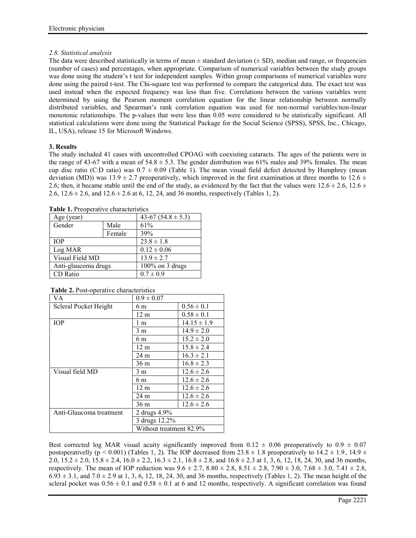## *2.8. Statistical analysis*

The data were described statistically in terms of mean  $\pm$  standard deviation ( $\pm$  SD), median and range, or frequencies (number of cases) and percentages, when appropriate. Comparison of numerical variables between the study groups was done using the student's t test for independent samples. Within group comparisons of numerical variables were done using the paired t-test. The Chi-square test was performed to compare the categorical data. The exact test was used instead when the expected frequency was less than five. Correlations between the various variables were determined by using the Pearson moment correlation equation for the linear relationship between normally distributed variables, and Spearman's rank correlation equation was used for non-normal variables/non-linear monotonic relationships. The p-values that were less than 0.05 were considered to be statistically significant. All statistical calculations were done using the Statistical Package for the Social Science (SPSS), SPSS, Inc., Chicago, IL, USA), release 15 for Microsoft Windows.

# **3. Results**

The study included 41 cases with uncontrolled CPOAG with coexisting cataracts. The ages of the patients were in the range of 43-67 with a mean of  $54.8 \pm 5.3$ . The gender distribution was 61% males and 39% females. The mean cup disc ratio (C:D ratio) was  $0.7 \pm 0.09$  (Table 1). The mean visual field defect detected by Humphrey (mean deviation (MD)) was  $13.9 \pm 2.7$  preoperatively, which improved in the first examination at three months to  $12.6 \pm$ 2.6; then, it became stable until the end of the study, as evidenced by the fact that the values were  $12.6 \pm 2.6$ ,  $12.6 \pm 1.6$ 2.6,  $12.6 \pm 2.6$ , and  $12.6 \pm 2.6$  at 6, 12, 24, and 36 months, respectively (Tables 1, 2).

| Age (year)          |     |
|---------------------|-----|
| Male                | 61% |
| Female              | 39% |
| <b>TOP</b>          |     |
| Log MAR             |     |
| Visual Field MD     |     |
| Anti-glaucoma drugs |     |
| CD Ratio            |     |
|                     |     |

**Table 1.** Preoperative characteristics

| VA.                     | $0.9 \pm 0.07$          |                 |
|-------------------------|-------------------------|-----------------|
| Scleral Pocket Height   | 6 m                     | $0.56 \pm 0.1$  |
|                         | $12 \text{ m}$          | $0.58 \pm 0.1$  |
| <b>IOP</b>              | l m                     | $14.15 \pm 1.9$ |
|                         | 3 m                     | $14.9 \pm 2.0$  |
|                         | 6 m                     | $15.2 \pm 2.0$  |
|                         | 12 <sub>m</sub>         | $15.8 \pm 2.4$  |
|                         | 24 m                    | $16.3 \pm 2.1$  |
|                         | 36 m                    | $16.8 \pm 2.3$  |
| Visual field MD         | 3 m                     | $12.6 \pm 2.6$  |
|                         | 6 m                     | $12.6 \pm 2.6$  |
|                         | $12 \text{ m}$          | $12.6 \pm 2.6$  |
|                         | 24 m                    | $12.6 \pm 2.6$  |
|                         | 36 m                    | $12.6 \pm 2.6$  |
| Anti-Glaucoma treatment | 2 drugs $4.9\%$         |                 |
|                         | 3 drugs 12.2%           |                 |
|                         | Without treatment 82.9% |                 |

**Table 2.** Post-operative characteristics

Best corrected log MAR visual acuity significantly improved from  $0.12 \pm 0.06$  preoperatively to  $0.9 \pm 0.07$ postoperativelly (p < 0.001) (Tables 1, 2). The IOP decreased from  $23.8 \pm 1.8$  preoperatively to  $14.2 \pm 1.9$ ,  $14.9 \pm 1.8$ 2.0,  $15.2 \pm 2.0$ ,  $15.8 \pm 2.4$ ,  $16.0 \pm 2.2$ ,  $16.3 \pm 2.1$ ,  $16.8 \pm 2.8$ , and  $16.8 \pm 2.3$  at 1, 3, 6, 12, 18, 24, 30, and 36 months, respectively. The mean of IOP reduction was  $9.6 \pm 2.7$ ,  $8.80 \pm 2.8$ ,  $8.51 \pm 2.8$ ,  $7.90 \pm 3.0$ ,  $7.68 \pm 3.0$ ,  $7.41 \pm 2.8$ ,  $6.93 \pm 3.1$ , and  $7.0 \pm 2.9$  at 1, 3, 6, 12, 18, 24, 30, and 36 months, respectively (Tables 1, 2). The mean height of the scleral pocket was  $0.56 \pm 0.1$  and  $0.58 \pm 0.1$  at 6 and 12 months, respectively. A significant correlation was found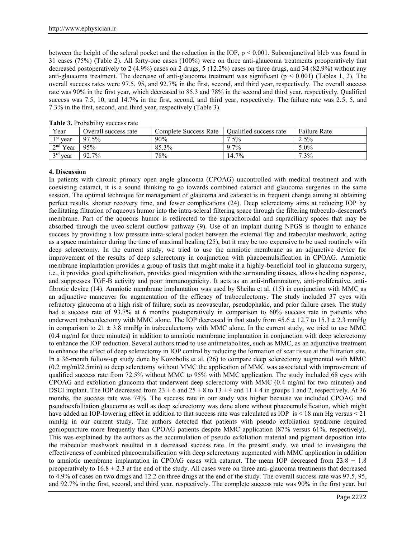between the height of the scleral pocket and the reduction in the IOP, p < 0.001. Subconjunctival bleb was found in 31 cases (75%) (Table 2). All forty-one cases (100%) were on three anti-glaucoma treatments preoperatively that decreased postoperatively to 2 (4.9%) cases on 2 drugs, 5 (12.2%) cases on three drugs, and 34 (82.9%) without any anti-glaucoma treatment. The decrease of anti-glaucoma treatment was significant ( $p < 0.001$ ) (Tables 1, 2). The overall success rates were 97.5, 95, and 92.7% in the first, second, and third year, respectively. The overall success rate was 90% in the first year, which decreased to 85.3 and 78% in the second and third year, respectively. Qualified success was 7.5, 10, and 14.7% in the first, second, and third year, respectively. The failure rate was 2.5, 5, and 7.3% in the first, second, and third year, respectively (Table 3).

| Year       | Overall success rate | Complete Success Rate | Oualified success rate | <b>Failure Rate</b> |
|------------|----------------------|-----------------------|------------------------|---------------------|
| $1st$ year | 97.5%                | $90\%$                | $7.5\%$                | $2.5\%$             |
| $2nd$ Year | 95%                  | 85.3%                 | 9.7%                   | $5.0\%$             |
| $3rd$ year | 92.7%                | 78%                   | 14.7%                  | $7.3\%$             |

**Table 3.** Probability success rate

### **4. Discussion**

In patients with chronic primary open angle glaucoma (CPOAG) uncontrolled with medical treatment and with coexisting cataract, it is a sound thinking to go towards combined cataract and glaucoma surgeries in the same session. The optimal technique for management of glaucoma and cataract is in frequent change aiming at obtaining perfect results, shorter recovery time, and fewer complications (24). Deep sclerectomy aims at reducing IOP by facilitating filtration of aqueous humor into the intra-scleral filtering space through the filtering trabeculo-descemet's membrane. Part of the aqueous humor is redirected to the suprachoroidal and supraciliary spaces that may be absorbed through the uveo-scleral outflow pathway (9). Use of an implant during NPGS is thought to enhance success by providing a low pressure intra-scleral pocket between the external flap and trabecular meshwork, acting as a space maintainer during the time of maximal healing (25), but it may be too expensive to be used routinely with deep sclerectomy. In the current study, we tried to use the amniotic membrane as an adjunctive device for improvement of the results of deep sclerectomy in conjunction with phacoemulsification in CPOAG. Amniotic membrane implantation provides a group of tasks that might make it a highly-beneficial tool in glaucoma surgery, i.e., it provides good epithelization, provides good integration with the surrounding tissues, allows healing response, and suppresses TGF-B activity and poor immunogenicity. It acts as an anti-inflammatory, anti-proliferative, antifibrotic device (14). Amniotic membrane implantation was used by Sheiha et al. (15) in conjunction with MMC as an adjunctive maneuver for augmentation of the efficacy of trabeculectomy. The study included 37 eyes with refractory glaucoma at a high risk of failure, such as neovascular, pseudophakic, and prior failure cases. The study had a success rate of 93.7% at 6 months postoperatively in comparison to 60% success rate in patients who underwent trabeculectomy with MMC alone. The IOP decreased in that study from  $45.6 \pm 12.7$  to  $15.3 \pm 2.3$  mmHg in comparison to  $21 \pm 3.8$  mmHg in trabeculectomy with MMC alone. In the current study, we tried to use MMC (0.4 mg/ml for three minutes) in addition to amniotic membrane implantation in conjunction with deep sclerectomy to enhance the IOP reduction. Several authors tried to use antimetabolites, such as MMC, as an adjunctive treatment to enhance the effect of deep sclerectomy in IOP control by reducing the formation of scar tissue at the filtration site. In a 36-month follow-up study done by Kozobolis et al. (26) to compare deep sclerectomy augmented with MMC (0.2 mg/ml/2.5min) to deep sclerctomy without MMC the application of MMC was associated with improvement of qualified success rate from 72.5% without MMC to 95% with MMC application. The study included 68 eyes with CPOAG and exfoliation glaucoma that underwent deep sclerectomy with MMC (0.4 mg/ml for two minutes) and DSCI implant. The IOP decreased from  $23 \pm 6$  and  $25 \pm 8$  to  $13 \pm 4$  and  $11 \pm 4$  in groups 1 and 2, respectively. At 36 months, the success rate was 74%. The success rate in our study was higher because we included CPOAG and pseudoexfolliation glaucoma as well as deep sclerectomy was done alone without phacoemulsification, which might have added an IOP-lowering effect in addition to that success rate was calculated as IOP is < 18 mm Hg versus < 21 mmHg in our current study. The authors detected that patients with pseudo exfoliation syndrome required goniopuncture more frequently than CPOAG patients despite MMC application (87% versus 61%, respectively). This was explained by the authors as the accumulation of pseudo exfoliation material and pigment deposition into the trabecular meshwork resulted in a decreased success rate. In the present study, we tried to investigate the effectiveness of combined phacoemulsification with deep sclerectomy augmented with MMC application in addition to amniotic membrane implantation in CPOAG cases with cataract. The mean IOP decreased from  $23.8 \pm 1.8$ preoperatively to  $16.8 \pm 2.3$  at the end of the study. All cases were on three anti-glaucoma treatments that decreased to 4.9% of cases on two drugs and 12.2 on three drugs at the end of the study. The overall success rate was 97.5, 95, and 92.7% in the first, second, and third year, respectively. The complete success rate was 90% in the first year, but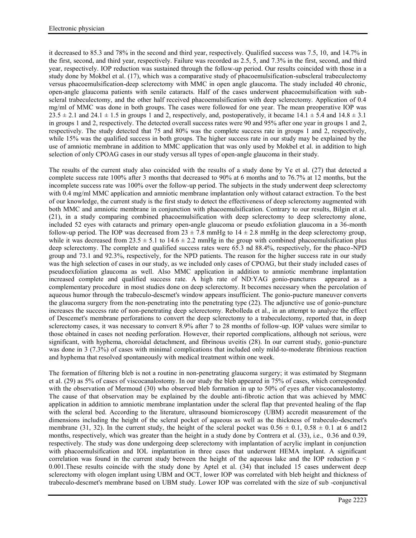it decreased to 85.3 and 78% in the second and third year, respectively. Qualified success was 7.5, 10, and 14.7% in the first, second, and third year, respectively. Failure was recorded as 2.5, 5, and 7.3% in the first, second, and third year, respectively. IOP reduction was sustained through the follow-up period. Our results coincided with those in a study done by Mokbel et al. (17), which was a comparative study of phacoemulsification-subscleral trabeculectomy versus phacoemulsification-deep sclerectomy with MMC in open angle glaucoma. The study included 40 chronic, open-angle glaucoma patients with senile cataracts. Half of the cases underwent phacoemulsification with sub scleral trabeculectomy, and the other half received phacoemulsification with deep sclerectomy. Application of 0.4 mg/ml of MMC was done in both groups. The cases were followed for one year. The mean preoperative IOP was  $23.5 \pm 2.1$  and  $24.1 \pm 1.5$  in groups 1 and 2, respectively, and, postoperatively, it became  $14.1 \pm 5.4$  and  $14.8 \pm 3.1$ in groups 1 and 2, respectively. The detected overall success rates were 90 and 95% after one year in groups 1 and 2, respectively. The study detected that 75 and 80% was the complete success rate in groups 1 and 2, respectively, while 15% was the qualified success in both groups. The higher success rate in our study may be explained by the use of amniotic membrane in addition to MMC application that was only used by Mokbel et al. in addition to high selection of only CPOAG cases in our study versus all types of open-angle glaucoma in their study.

The results of the current study also coincided with the results of a study done by Ye et al. (27) that detected a complete success rate 100% after 3 months that decreased to 90% at 6 months and to 76.7% at 12 months, but the incomplete success rate was 100% over the follow-up period. The subjects in the study underwent deep sclerectomy with 0.4 mg/ml MMC application and amniotic membrane implantation only without cataract extraction. To the best of our knowledge, the current study is the first study to detect the effectiveness of deep sclerectomy augmented with both MMC and amniotic membrane in conjunction with phacoemulsification. Contrary to our results, Bilgin et al. (21), in a study comparing combined phacoemulsification with deep sclerectomy to deep sclerectomy alone, included 52 eyes with cataracts and primary open-angle glaucoma or pseudo exfoliation glaucoma in a 36-month follow-up period. The IOP was decreased from  $23 \pm 7.8$  mmHg to  $14 \pm 2.8$  mmHg in the deep sclerectomy group, while it was decreased from  $23.5 \pm 5.1$  to  $14.6 \pm 2.2$  mmHg in the group with combined phacoemulsification plus deep sclerectomy. The complete and qualified success rates were 65.3 nd 88.4%, respectively, for the phaco-NPD group and 73.1 and 92.3%, respectively, for the NPD patients. The reason for the higher success rate in our study was the high selection of cases in our study, as we included only cases of CPOAG, but their study included cases of pseudoexfoliation glaucoma as well. Also MMC application in addition to amniotic membrane implantation increased complete and qualified success rate. A high rate of ND:YAG gonio-punctures appeared as a complementary procedure in most studies done on deep sclerectomy. It becomes necessary when the percolation of aqueous humor through the trabeculo-descmet's window appears insufficient. The gonio-pucture maneuver converts the glaucoma surgery from the non-penetrating into the penetrating type (22). The adjunctive use of gonio-puncture increases the success rate of non-penetrating deep sclerectomy. Rebolleda et al., in an attempt to analyze the effect of Descemet's membrane perforations to convert the deep sclerectomy to a trabeculectomy, reported that, in deep sclerectomy cases, it was necessary to convert 8.9% after 7 to 28 months of follow-up. IOP values were similar to those obtained in cases not needing perforation. However, their reported complications, although not serious, were significant, with hyphema, choroidal detachment, and fibrinous uveitis (28). In our current study, gonio-puncture was done in 3 (7.3%) of cases with minimal complications that included only mild-to-moderate fibrinious reaction and hyphema that resolved spontaneously with medical treatment within one week.

The formation of filtering bleb is not a routine in non-penetrating glaucoma surgery; it was estimated by Stegmann et al. (29) as 5% of cases of viscocanalostomy. In our study the bleb appeared in 75% of cases, which corresponded with the observation of Mermoud (30) who observed bleb formation in up to 50% of eyes after viscocanalostomy. The cause of that observation may be explained by the double anti-fibrotic action that was achieved by MMC application in addition to amniotic membrane implantation under the scleral flap that prevented healing of the flap with the scleral bed. According to the literature, ultrasound biomicroscopy (UBM) accredit measurement of the dimensions including the height of the scleral pocket of aqueous as well as the thickness of trabeculo-descmet's membrane (31, 32). In the current study, the height of the scleral pocket was  $0.56 \pm 0.1$ ,  $0.58 \pm 0.1$  at 6 and 12 months, respectively, which was greater than the height in a study done by Contrera et al. (33), i.e., 0.36 and 0.39, respectively. The study was done undergoing deep sclerectomy with implantation of acrylic implant in conjunction with phacoemulsification and IOL implantation in three cases that underwent HEMA implant. A significant correlation was found in the current study between the height of the aqueous lake and the IOP reduction  $p <$ 0.001.These results coincide with the study done by Aptel et al. (34) that included 15 cases underwent deep sclerectomy with ologen implant using UBM and OCT, lower IOP was correlated with bleb height and thickness of trabeculo-descmet's membrane based on UBM study. Lower IOP was correlated with the size of sub -conjunctival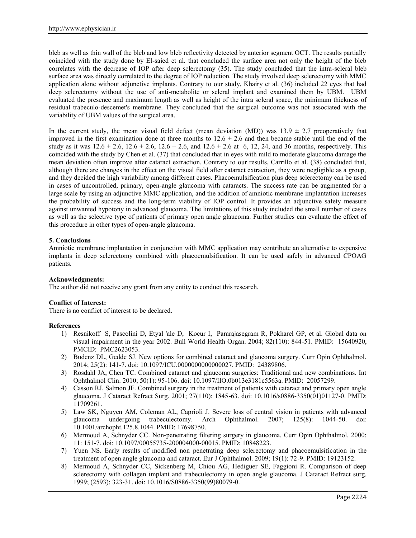bleb as well as thin wall of the bleb and low bleb reflectivity detected by anterior segment OCT. The results partially coincided with the study done by El-saied et al. that concluded the surface area not only the height of the bleb correlates with the decrease of IOP after deep sclerectomy (35). The study concluded that the intra-scleral bleb surface area was directly correlated to the degree of IOP reduction. The study involved deep sclerectomy with MMC application alone without adjunctive implants. Contrary to our study, Khairy et al. (36) included 22 eyes that had deep sclerectomy without the use of anti-metabolite or scleral implant and examined them by UBM. UBM evaluated the presence and maximum length as well as height of the intra scleral space, the minimum thickness of residual trabeculo-descemet's membrane. They concluded that the surgical outcome was not associated with the variability of UBM values of the surgical area.

In the current study, the mean visual field defect (mean deviation (MD)) was  $13.9 \pm 2.7$  preoperatively that improved in the first examination done at three months to  $12.6 \pm 2.6$  and then became stable until the end of the study as it was  $12.6 \pm 2.6$ ,  $12.6 \pm 2.6$ ,  $12.6 \pm 2.6$ , and  $12.6 \pm 2.6$  at 6, 12, 24, and 36 months, respectively. This coincided with the study by Chen et al. (37) that concluded that in eyes with mild to moderate glaucoma damage the mean deviation often improve after cataract extraction. Contrary to our results, Carrillo et al. (38) concluded that, although there are changes in the effect on the visual field after cataract extraction, they were negligible as a group, and they decided the high variability among different cases. Phacoemulsification plus deep sclerectomy can be used in cases of uncontrolled, primary, open-angle glaucoma with cataracts. The success rate can be augmented for a large scale by using an adjunctive MMC application, and the addition of amniotic membrane implantation increases the probability of success and the long-term viability of IOP control. It provides an adjunctive safety measure against unwanted hypotony in advanced glaucoma. The limitations of this study included the small number of cases as well as the selective type of patients of primary open angle glaucoma. Further studies can evaluate the effect of this procedure in other types of open-angle glaucoma.

## **5. Conclusions**

Amniotic membrane implantation in conjunction with MMC application may contribute an alternative to expensive implants in deep sclerectomy combined with phacoemulsification. It can be used safely in advanced CPOAG patients.

### **Acknowledgments:**

The author did not receive any grant from any entity to conduct this research.

### **Conflict of Interest:**

There is no conflict of interest to be declared.

### **References**

- 1) Resnikoff S, Pascolini D, Etyal 'ale D, Kocur I, Pararajasegram R, Pokharel GP, et al. Global data on visual impairment in the year 2002. Bull World Health Organ. 2004; 82(110): 844-51. PMID: 15640920, PMCID: PMC2623053.
- 2) Budenz DL, Gedde SJ. New options for combined cataract and glaucoma surgery. Curr Opin Ophthalmol. 2014; 25(2): 141-7. doi: 10.1097/ICU.0000000000000027. PMID: 24389806.
- 3) Rosdahl JA, Chen TC. Combined cataract and glaucoma surgeries: Traditional and new combinations. Int Ophthalmol Clin. 2010; 50(1): 95-106. doi: 10.1097/IIO.0b013e3181c5563a. PMID: 20057299.
- 4) Casson RJ, Salmon JF. Combined surgery in the treatment of patients with cataract and primary open angle glaucoma. J Cataract Refract Surg. 2001; 27(110): 1845-63. doi: 10.1016/s0886-3350(01)01127-0. PMID: 11709261.
- 5) Law SK, Nguyen AM, Coleman AL, Caprioli J. Severe loss of central vision in patients with advanced glaucoma undergoing trabeculectomy. Arch Ophthalmol. 2007; 125(8): 1044-50. doi: 10.1001/archopht.125.8.1044. PMID: 17698750.
- 6) Mermoud A, Schnyder CC. Non-penetrating filtering surgery in glaucoma. Curr Opin Ophthalmol. 2000; 11: 151-7. doi: 10.1097/00055735-200004000-00015. PMID: 10848223.
- 7) Yuen NS. Early results of modified non penetrating deep sclerectomy and phacoemulsification in the treatment of open angle glaucoma and cataract. Eur J Ophthalmol. 2009; 19(1): 72-9. PMID: 19123152.
- 8) Mermoud A, Schnyder CC, Sickenberg M, Chiou AG, Hediguer SE, Faggioni R. Comparison of deep sclerectomy with collagen implant and trabeculectomy in open angle glaucoma. J Cataract Refract surg. 1999; (2593): 323-31. doi: 10.1016/S0886-3350(99)80079-0.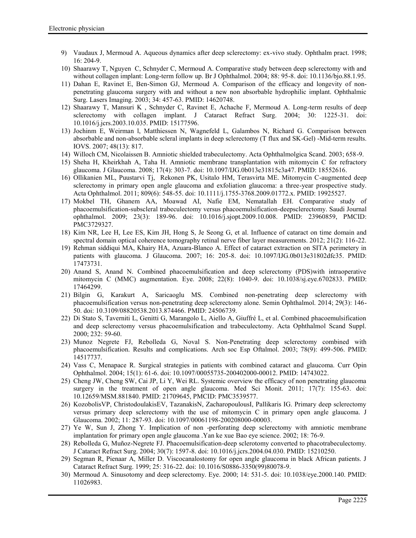- 9) Vaudaux J, Mermoud A. Aqueous dynamics after deep sclerectomy: ex-vivo study. Ophthalm pract. 1998; 16: 204-9.
- 10) Shaarawy T, Nguyen C, Schnyder C, Mermoud A. Comparative study between deep sclerectomy with and without collagen implant: Long-term follow up. Br J Ophthalmol. 2004; 88: 95-8. doi: 10.1136/bjo.88.1.95.
- 11) Dahan E, Ravinet E, Ben-Simon GJ, Mermoud A. Comparison of the efficacy and longevity of non penetrating glaucoma surgery with and without a new non absorbable hydrophilic implant. Ophthalmic Surg. Lasers Imaging. 2003; 34: 457-63. PMID: 14620748.
- 12) Shaarawy T, Mansuri K , Schnyder C, Ravinet E, Achache F, Mermoud A. Long-term results of deep sclerectomy with collagen implant. J Cataract Refract Surg. 2004; 30: 1225-31. doi: 10.1016/j.jcrs.2003.10.035. PMID: 15177596.
- 13) Jochinm E, Weirman l, Matthiessen N, Wagnefeld L, Galambos N, Richard G. Comparison between absorbable and non-absorbable scleral implants in deep sclerectomy (T flux and SK-Gel) -Mid-term results. IOVS. 2007; 48(13): 817.
- 14) Willoch CM, Nicolaissen B. Amniotic shielded trabeculectomy. Acta Ophthalmolgica Scand. 2003; 658-9.
- 15) Sheha H, Kheirkhah A, Taha H. Amniotic membrane transplantation with mitomycin C for refractory glaucoma. J Glaucoma. 2008; 17(4): 303-7. doi: 10.1097/IJG.0b013e31815c3a47. PMID: 18552616.
- 16) Ollikanien ML, Puustarvi Tj, Rekonen PK, Usitalo HM, Terasvirta ME. Mitomycin C-augmented deep sclerectomy in primary open angle glaucoma and exfoliation glaucoma: a three-year prospective study. Acta Ophthalmol. 2011; 809(6): 548-55. doi: 10.1111/j.1755-3768.2009.01772.x. PMID: 19925527.
- 17) Mokbel TH, Ghanem AA, Moawad AI, Nafie EM, Nematallah EH. Comparative study of phacoemulsification-subscleral trabeculectomy versus phacoemulsification-deepsclerectomy. Saudi Journal ophthalmol. 2009; 23(3): 189-96. doi: 10.1016/j.sjopt.2009.10.008. PMID: 23960859, PMCID: PMC3729327.
- 18) Kim NR, Lee H, Lee ES, Kim JH, Hong S, Je Seong G, et al. Influence of cataract on time domain and spectral domain optical coherence tomography retinal nerve fiber layer measurements. 2012; 21(2): 116-22.
- 19) Rehman siddiqui MA, Khairy HA, Azuara-Blanco A. Effect of cataract extraction on SITA perimetery in patients with glaucoma. J Glaucoma. 2007; 16: 205-8. doi: 10.1097/IJG.0b013e31802dfc35. PMID: 17473731.
- 20) Anand S, Anand N. Combined phacoemulsification and deep sclerectomy (PDS)with intraoperative mitomycin C (MMC) augmentation. Eye. 2008; 22(8): 1040-9. doi: 10.1038/sj.eye.6702833. PMID: 17464299.
- 21) Bilgin G, Karakurt A, Saricaoglu MS. Combined non-penetrating deep sclerectomy with phacoemulsification versus non-penetrating deep sclerectomy alone. Semin Ophthalmol. 2014; 29(3): 146- 50. doi: 10.3109/08820538.2013.874466. PMID: 24506739.
- 22) Di Stato S, Taverniti L, Genitti G, Marangolo L, Aiello A, Giuffré L, et al. Combined phacoemulsification and deep sclerectomy versus phacoemulsification and trabeculectomy. Acta Ophthalmol Scand Suppl. 2000; 232: 59-60.
- 23) Munoz Negrete FJ, Rebolleda G, Noval S. Non-Penetrating deep sclerectomy combined with phacoemulsification. Results and complications. Arch soc Esp Oftalmol. 2003; 78(9): 499-506. PMID: 14517737.
- 24) Vass C, Menapace R. Surgical strategies in patients with combined cataract and glaucoma. Curr Opin Ophthalmol. 2004; 15(1): 61-6. doi: 10.1097/00055735-200402000-00012. PMID: 14743022.
- 25) Cheng JW, Cheng SW, Cai JP, Li Y, Wei RL. Systemic overview the efficacy of non penetrating glaucoma surgery in the treatment of open angle glaucoma. Med Sci Monit. 2011; 17(7): 155-63. doi: 10.12659/MSM.881840. PMID: 21709645, PMCID: PMC3539577.
- 26) KozobolisVP, ChristodoulakisEV, TazanakisN, ZacharopoulousI, Pallikaris IG. Primary deep sclerectomy versus primary deep sclerectomy with the use of mitomycin C in primary open angle glaucoma. J Glaucoma. 2002; 11: 287-93. doi: 10.1097/00061198-200208000-00003.
- 27) Ye W, Sun J, Zhong Y. Implication of non -perforating deep sclerectomy with amniotic membrane implantation for primary open angle glaucoma .Yan ke xue Bao eye science. 2002; 18: 76-9.
- 28) Rebolleda G, Muñoz-Negrete FJ. Phacoemulsification-deep sclerotomy converted to phacotrabeculectomy. J Cataract Refract Surg. 2004; 30(7): 1597-8. doi: 10.1016/j.jcrs.2004.04.030. PMID: 15210250.
- 29) Segman R, Pienaar A, Miller D. Viscocanalostomy for open angle glaucoma in black African patients. J Cataract Refract Surg. 1999; 25: 316-22. doi: 10.1016/S0886-3350(99)80078-9.
- 30) Mermoud A. Sinusotomy and deep sclerectomy. Eye. 2000; 14: 531-5. doi: 10.1038/eye.2000.140. PMID: 11026983.